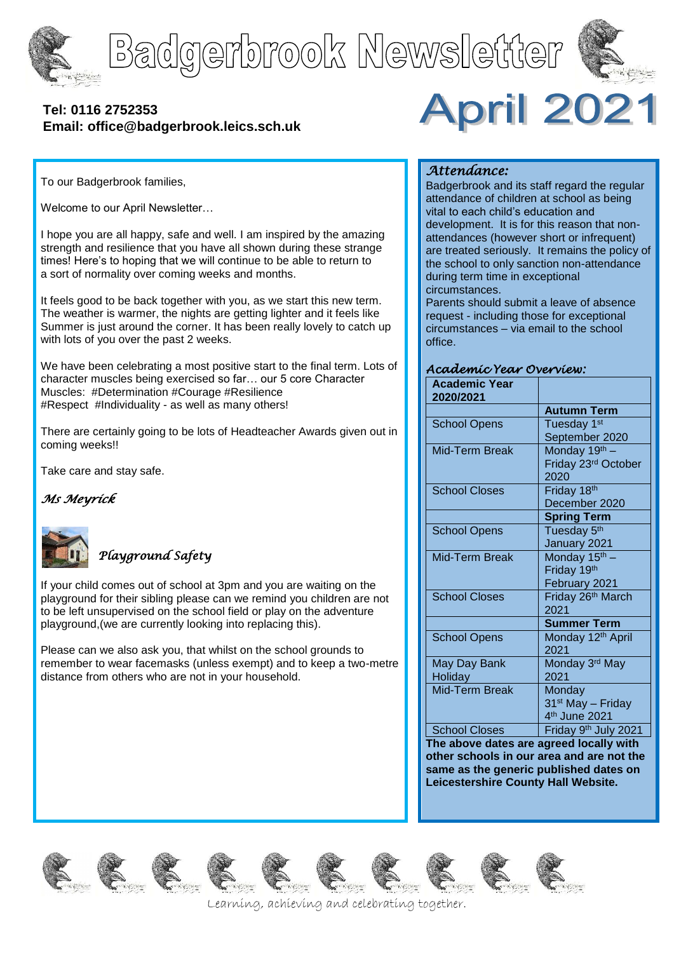





### **[Tel: 0116](tel:0116) 2752353 Email: office@badgerbrook.leics.sch.uk**



To our Badgerbrook families,

Welcome to our April Newsletter…

I hope you are all happy, safe and well. I am inspired by the amazing strength and resilience that you have all shown during these strange times! Here's to hoping that we will continue to be able to return to a sort of normality over coming weeks and months.

It feels good to be back together with you, as we start this new term. The weather is warmer, the nights are getting lighter and it feels like Summer is just around the corner. It has been really lovely to catch up with lots of you over the past 2 weeks.

We have been celebrating a most positive start to the final term. Lots of character muscles being exercised so far… our 5 core Character Muscles: #Determination #Courage #Resilience #Respect #Individuality - as well as many others!

There are certainly going to be lots of Headteacher Awards given out in coming weeks!!

Take care and stay safe.

## *Ms Meyrick*



### *Playground Safety*

If your child comes out of school at 3pm and you are waiting on the playground for their sibling please can we remind you children are not to be left unsupervised on the school field or play on the adventure playground,(we are currently looking into replacing this).

Please can we also ask you, that whilst on the school grounds to remember to wear facemasks (unless exempt) and to keep a two-metre distance from others who are not in your household.

### *Attendance:*

Badgerbrook and its staff regard the regular attendance of children at school as being vital to each child's education and development. It is for this reason that nonattendances (however short or infrequent) are treated seriously. It remains the policy of the school to only sanction non-attendance during term time in exceptional circumstances.

Parents should submit a leave of absence request - including those for exceptional circumstances – via email to the school office.

#### *Academic Year Overview:*

| <b>Academic Year</b><br>2020/2021 |                               |
|-----------------------------------|-------------------------------|
|                                   | <b>Autumn Term</b>            |
| <b>School Opens</b>               | Tuesday 1 <sup>st</sup>       |
|                                   | September 2020                |
| <b>Mid-Term Break</b>             | Monday 19 <sup>th</sup> -     |
|                                   | Friday 23rd October           |
|                                   | 2020                          |
| <b>School Closes</b>              | Friday 18th                   |
|                                   | December 2020                 |
|                                   | <b>Spring Term</b>            |
| <b>School Opens</b>               | Tuesday 5 <sup>th</sup>       |
|                                   | January 2021                  |
| Mid-Term Break                    | Monday 15 <sup>th</sup> -     |
|                                   | Friday 19th                   |
|                                   | February 2021                 |
| <b>School Closes</b>              | Friday 26 <sup>th</sup> March |
|                                   | 2021                          |
|                                   | <b>Summer Term</b>            |
| <b>School Opens</b>               | Monday 12 <sup>th</sup> April |
|                                   | 2021                          |
| May Day Bank                      | Monday 3rd May                |
| Holiday                           | 2021                          |
| Mid-Term Break                    | Monday                        |
|                                   | 31 <sup>st</sup> May - Friday |
|                                   | 4 <sup>th</sup> June 2021     |
| <b>School Closes</b>              | Friday 9th July 2021          |

**The above dates are agreed locally with other schools in our area and are not the same as the generic published dates on Leicestershire County Hall Website.**

















Learning, achieving and celebrating together.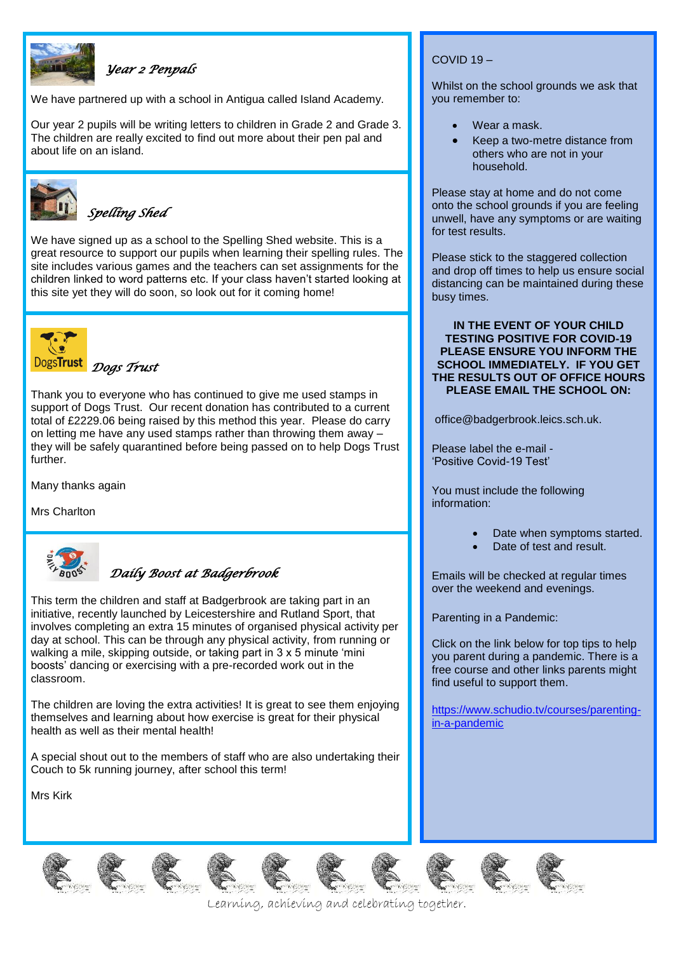

### *Year 2 Penpals*

We have partnered up with a school in Antigua called Island Academy.

Our year 2 pupils will be writing letters to children in Grade 2 and Grade 3. The children are really excited to find out more about their pen pal and about life on an island.



*Spelling Shed* 

We have signed up as a school to the Spelling Shed website. This is a great resource to support our pupils when learning their spelling rules. The site includes various games and the teachers can set assignments for the children linked to word patterns etc. If your class haven't started looking at this site yet they will do soon, so look out for it coming home!



Thank you to everyone who has continued to give me used stamps in support of Dogs Trust. Our recent donation has contributed to a current total of £2229.06 being raised by this method this year. Please do carry on letting me have any used stamps rather than throwing them away – they will be safely quarantined before being passed on to help Dogs Trust further.

Many thanks again

Mrs Charlton



### *Daily Boost at Badgerbrook*

This term the children and staff at Badgerbrook are taking part in an initiative, recently launched by Leicestershire and Rutland Sport, that involves completing an extra 15 minutes of organised physical activity per day at school. This can be through any physical activity, from running or walking a mile, skipping outside, or taking part in 3 x 5 minute 'mini boosts' dancing or exercising with a pre-recorded work out in the classroom.

The children are loving the extra activities! It is great to see them enjoying themselves and learning about how exercise is great for their physical health as well as their mental health!

A special shout out to the members of staff who are also undertaking their Couch to 5k running journey, after school this term!

Mrs Kirk

#### COVID 19 –

Whilst on the school grounds we ask that you remember to:

- Wear a mask.
- Keep a two-metre distance from others who are not in your household.

Please stay at home and do not come onto the school grounds if you are feeling unwell, have any symptoms or are waiting for test results.

Please stick to the staggered collection and drop off times to help us ensure social distancing can be maintained during these busy times.

#### **IN THE EVENT OF YOUR CHILD TESTING POSITIVE FOR COVID-19 PLEASE ENSURE YOU INFORM THE SCHOOL IMMEDIATELY. IF YOU GET THE RESULTS OUT OF OFFICE HOURS PLEASE EMAIL THE SCHOOL ON:**

office@badgerbrook.leics.sch.uk.

Please label the e-mail - 'Positive Covid-19 Test'

You must include the following information:

- Date when symptoms started.
- Date of test and result.

Emails will be checked at regular times over the weekend and evenings.

Parenting in a Pandemic:

Click on the link below for top tips to help you parent during a pandemic. There is a free course and other links parents might find useful to support them.

[https://www.schudio.tv/courses/parenting](https://www.schudio.tv/courses/parenting-in-a-pandemic)[in-a-pandemic](https://www.schudio.tv/courses/parenting-in-a-pandemic)













Learning, achieving and celebrating together.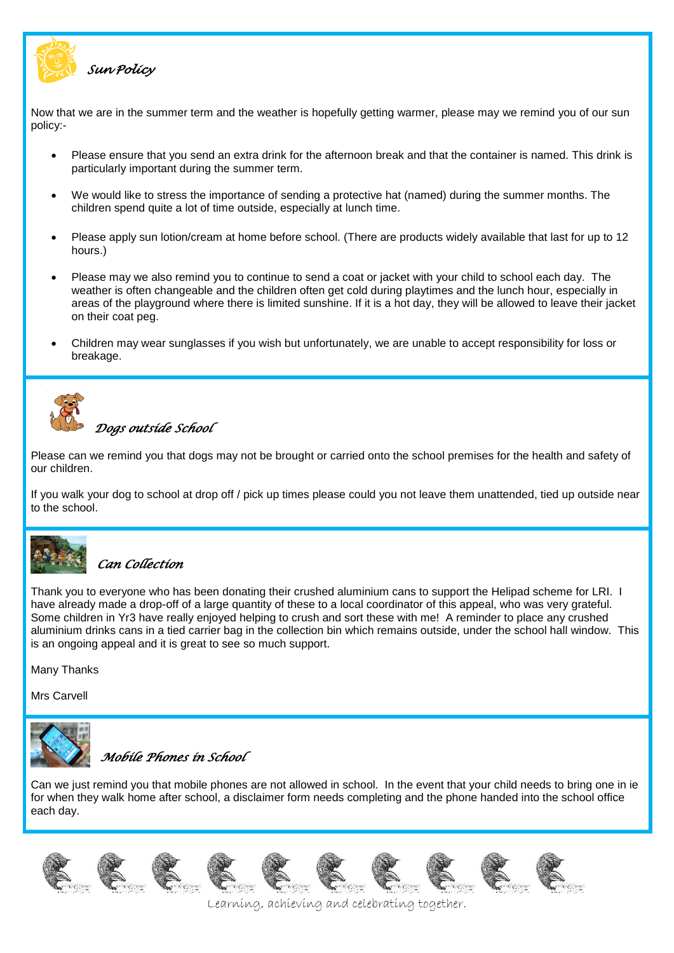

*Sun Policy* 

Now that we are in the summer term and the weather is hopefully getting warmer, please may we remind you of our sun policy:-

- Please ensure that you send an extra drink for the afternoon break and that the container is named. This drink is particularly important during the summer term.
- We would like to stress the importance of sending a protective hat (named) during the summer months. The children spend quite a lot of time outside, especially at lunch time.
- Please apply sun lotion/cream at home before school. (There are products widely available that last for up to 12 hours.)
- Please may we also remind you to continue to send a coat or jacket with your child to school each day. The weather is often changeable and the children often get cold during playtimes and the lunch hour, especially in areas of the playground where there is limited sunshine. If it is a hot day, they will be allowed to leave their jacket on their coat peg.
- Children may wear sunglasses if you wish but unfortunately, we are unable to accept responsibility for loss or breakage.



# *Dogs outside School*

Please can we remind you that dogs may not be brought or carried onto the school premises for the health and safety of our children.

If you walk your dog to school at drop off / pick up times please could you not leave them unattended, tied up outside near to the school.



### *Can Collection*

Thank you to everyone who has been donating their crushed aluminium cans to support the Helipad scheme for LRI. I have already made a drop-off of a large quantity of these to a local coordinator of this appeal, who was very grateful. Some children in Yr3 have really enjoyed helping to crush and sort these with me! A reminder to place any crushed aluminium drinks cans in a tied carrier bag in the collection bin which remains outside, under the school hall window. This is an ongoing appeal and it is great to see so much support.

Many Thanks

Mrs Carvell



*Mobile Phones in School*

Can we just remind you that mobile phones are not allowed in school. In the event that your child needs to bring one in ie for when they walk home after school, a disclaimer form needs completing and the phone handed into the school office each day.